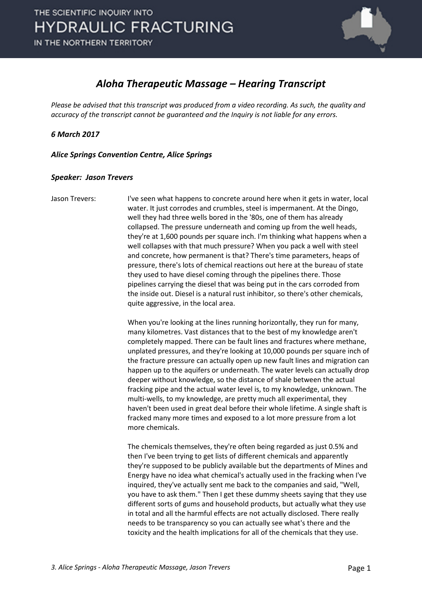

## *Aloha Therapeutic Massage – Hearing Transcript*

*Please be advised that this transcript was produced from a video recording. As such, the quality and accuracy of the transcript cannot be guaranteed and the Inquiry is not liable for any errors.*

*6 March 2017* 

*Alice Springs Convention Centre, Alice Springs* 

## *Speaker: Jason Trevers*

Jason Trevers: I've seen what happens to concrete around here when it gets in water, local water. It just corrodes and crumbles, steel is impermanent. At the Dingo, well they had three wells bored in the '80s, one of them has already collapsed. The pressure underneath and coming up from the well heads, they're at 1,600 pounds per square inch. I'm thinking what happens when a well collapses with that much pressure? When you pack a well with steel and concrete, how permanent is that? There's time parameters, heaps of pressure, there's lots of chemical reactions out here at the bureau of state they used to have diesel coming through the pipelines there. Those pipelines carrying the diesel that was being put in the cars corroded from the inside out. Diesel is a natural rust inhibitor, so there's other chemicals, quite aggressive, in the local area.

> When you're looking at the lines running horizontally, they run for many, many kilometres. Vast distances that to the best of my knowledge aren't completely mapped. There can be fault lines and fractures where methane, unplated pressures, and they're looking at 10,000 pounds per square inch of the fracture pressure can actually open up new fault lines and migration can happen up to the aquifers or underneath. The water levels can actually drop deeper without knowledge, so the distance of shale between the actual fracking pipe and the actual water level is, to my knowledge, unknown. The multi-wells, to my knowledge, are pretty much all experimental, they haven't been used in great deal before their whole lifetime. A single shaft is fracked many more times and exposed to a lot more pressure from a lot more chemicals.

> The chemicals themselves, they're often being regarded as just 0.5% and then I've been trying to get lists of different chemicals and apparently they're supposed to be publicly available but the departments of Mines and Energy have no idea what chemical's actually used in the fracking when I've inquired, they've actually sent me back to the companies and said, "Well, you have to ask them." Then I get these dummy sheets saying that they use different sorts of gums and household products, but actually what they use in total and all the harmful effects are not actually disclosed. There really needs to be transparency so you can actually see what's there and the toxicity and the health implications for all of the chemicals that they use.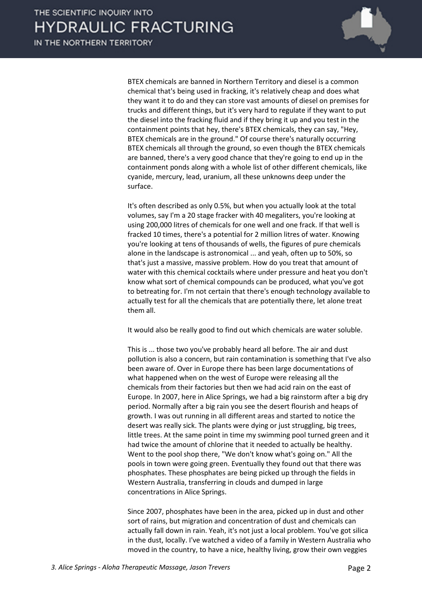

BTEX chemicals are banned in Northern Territory and diesel is a common chemical that's being used in fracking, it's relatively cheap and does what they want it to do and they can store vast amounts of diesel on premises for trucks and different things, but it's very hard to regulate if they want to put the diesel into the fracking fluid and if they bring it up and you test in the containment points that hey, there's BTEX chemicals, they can say, "Hey, BTEX chemicals are in the ground." Of course there's naturally occurring BTEX chemicals all through the ground, so even though the BTEX chemicals are banned, there's a very good chance that they're going to end up in the containment ponds along with a whole list of other different chemicals, like cyanide, mercury, lead, uranium, all these unknowns deep under the surface.

It's often described as only 0.5%, but when you actually look at the total volumes, say I'm a 20 stage fracker with 40 megaliters, you're looking at using 200,000 litres of chemicals for one well and one frack. If that well is fracked 10 times, there's a potential for 2 million litres of water. Knowing you're looking at tens of thousands of wells, the figures of pure chemicals alone in the landscape is astronomical ... and yeah, often up to 50%, so that's just a massive, massive problem. How do you treat that amount of water with this chemical cocktails where under pressure and heat you don't know what sort of chemical compounds can be produced, what you've got to betreating for. I'm not certain that there's enough technology available to actually test for all the chemicals that are potentially there, let alone treat them all.

It would also be really good to find out which chemicals are water soluble.

This is ... those two you've probably heard all before. The air and dust pollution is also a concern, but rain contamination is something that I've also been aware of. Over in Europe there has been large documentations of what happened when on the west of Europe were releasing all the chemicals from their factories but then we had acid rain on the east of Europe. In 2007, here in Alice Springs, we had a big rainstorm after a big dry period. Normally after a big rain you see the desert flourish and heaps of growth. I was out running in all different areas and started to notice the desert was really sick. The plants were dying or just struggling, big trees, little trees. At the same point in time my swimming pool turned green and it had twice the amount of chlorine that it needed to actually be healthy. Went to the pool shop there, "We don't know what's going on." All the pools in town were going green. Eventually they found out that there was phosphates. These phosphates are being picked up through the fields in Western Australia, transferring in clouds and dumped in large concentrations in Alice Springs.

Since 2007, phosphates have been in the area, picked up in dust and other sort of rains, but migration and concentration of dust and chemicals can actually fall down in rain. Yeah, it's not just a local problem. You've got silica in the dust, locally. I've watched a video of a family in Western Australia who moved in the country, to have a nice, healthy living, grow their own veggies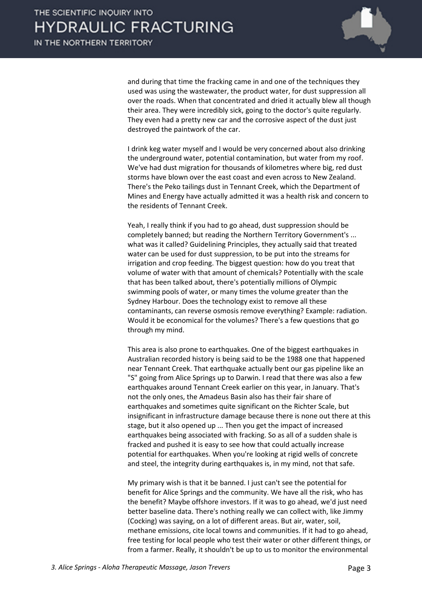

and during that time the fracking came in and one of the techniques they used was using the wastewater, the product water, for dust suppression all over the roads. When that concentrated and dried it actually blew all though their area. They were incredibly sick, going to the doctor's quite regularly. They even had a pretty new car and the corrosive aspect of the dust just destroyed the paintwork of the car.

I drink keg water myself and I would be very concerned about also drinking the underground water, potential contamination, but water from my roof. We've had dust migration for thousands of kilometres where big, red dust storms have blown over the east coast and even across to New Zealand. There's the Peko tailings dust in Tennant Creek, which the Department of Mines and Energy have actually admitted it was a health risk and concern to the residents of Tennant Creek.

Yeah, I really think if you had to go ahead, dust suppression should be completely banned; but reading the Northern Territory Government's ... what was it called? Guidelining Principles, they actually said that treated water can be used for dust suppression, to be put into the streams for irrigation and crop feeding. The biggest question: how do you treat that volume of water with that amount of chemicals? Potentially with the scale that has been talked about, there's potentially millions of Olympic swimming pools of water, or many times the volume greater than the Sydney Harbour. Does the technology exist to remove all these contaminants, can reverse osmosis remove everything? Example: radiation. Would it be economical for the volumes? There's a few questions that go through my mind.

This area is also prone to earthquakes. One of the biggest earthquakes in Australian recorded history is being said to be the 1988 one that happened near Tennant Creek. That earthquake actually bent our gas pipeline like an "S" going from Alice Springs up to Darwin. I read that there was also a few earthquakes around Tennant Creek earlier on this year, in January. That's not the only ones, the Amadeus Basin also has their fair share of earthquakes and sometimes quite significant on the Richter Scale, but insignificant in infrastructure damage because there is none out there at this stage, but it also opened up ... Then you get the impact of increased earthquakes being associated with fracking. So as all of a sudden shale is fracked and pushed it is easy to see how that could actually increase potential for earthquakes. When you're looking at rigid wells of concrete and steel, the integrity during earthquakes is, in my mind, not that safe.

My primary wish is that it be banned. I just can't see the potential for benefit for Alice Springs and the community. We have all the risk, who has the benefit? Maybe offshore investors. If it was to go ahead, we'd just need better baseline data. There's nothing really we can collect with, like Jimmy (Cocking) was saying, on a lot of different areas. But air, water, soil, methane emissions, cite local towns and communities. If it had to go ahead, free testing for local people who test their water or other different things, or from a farmer. Really, it shouldn't be up to us to monitor the environmental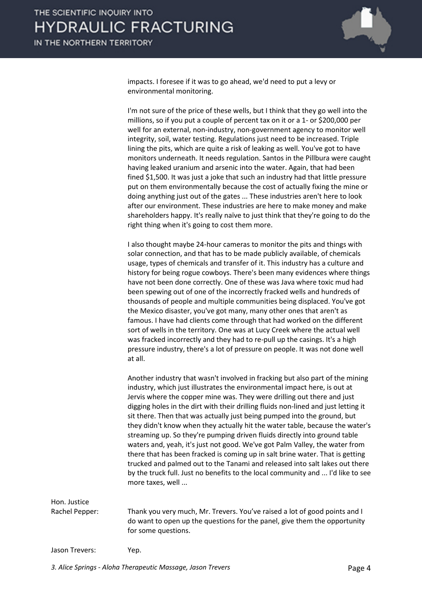

impacts. I foresee if it was to go ahead, we'd need to put a levy or environmental monitoring.

I'm not sure of the price of these wells, but I think that they go well into the millions, so if you put a couple of percent tax on it or a 1- or \$200,000 per well for an external, non-industry, non-government agency to monitor well integrity, soil, water testing. Regulations just need to be increased. Triple lining the pits, which are quite a risk of leaking as well. You've got to have monitors underneath. It needs regulation. Santos in the Pillbura were caught having leaked uranium and arsenic into the water. Again, that had been fined \$1,500. It was just a joke that such an industry had that little pressure put on them environmentally because the cost of actually fixing the mine or doing anything just out of the gates ... These industries aren't here to look after our environment. These industries are here to make money and make shareholders happy. It's really naïve to just think that they're going to do the right thing when it's going to cost them more.

I also thought maybe 24-hour cameras to monitor the pits and things with solar connection, and that has to be made publicly available, of chemicals usage, types of chemicals and transfer of it. This industry has a culture and history for being rogue cowboys. There's been many evidences where things have not been done correctly. One of these was Java where toxic mud had been spewing out of one of the incorrectly fracked wells and hundreds of thousands of people and multiple communities being displaced. You've got the Mexico disaster, you've got many, many other ones that aren't as famous. I have had clients come through that had worked on the different sort of wells in the territory. One was at Lucy Creek where the actual well was fracked incorrectly and they had to re-pull up the casings. It's a high pressure industry, there's a lot of pressure on people. It was not done well at all.

Another industry that wasn't involved in fracking but also part of the mining industry, which just illustrates the environmental impact here, is out at Jervis where the copper mine was. They were drilling out there and just digging holes in the dirt with their drilling fluids non-lined and just letting it sit there. Then that was actually just being pumped into the ground, but they didn't know when they actually hit the water table, because the water's streaming up. So they're pumping driven fluids directly into ground table waters and, yeah, it's just not good. We've got Palm Valley, the water from there that has been fracked is coming up in salt brine water. That is getting trucked and palmed out to the Tanami and released into salt lakes out there by the truck full. Just no benefits to the local community and ... I'd like to see more taxes, well ...

Hon. Justice

Rachel Pepper: Thank you very much, Mr. Trevers. You've raised a lot of good points and I do want to open up the questions for the panel, give them the opportunity for some questions.

Jason Trevers: Yep.